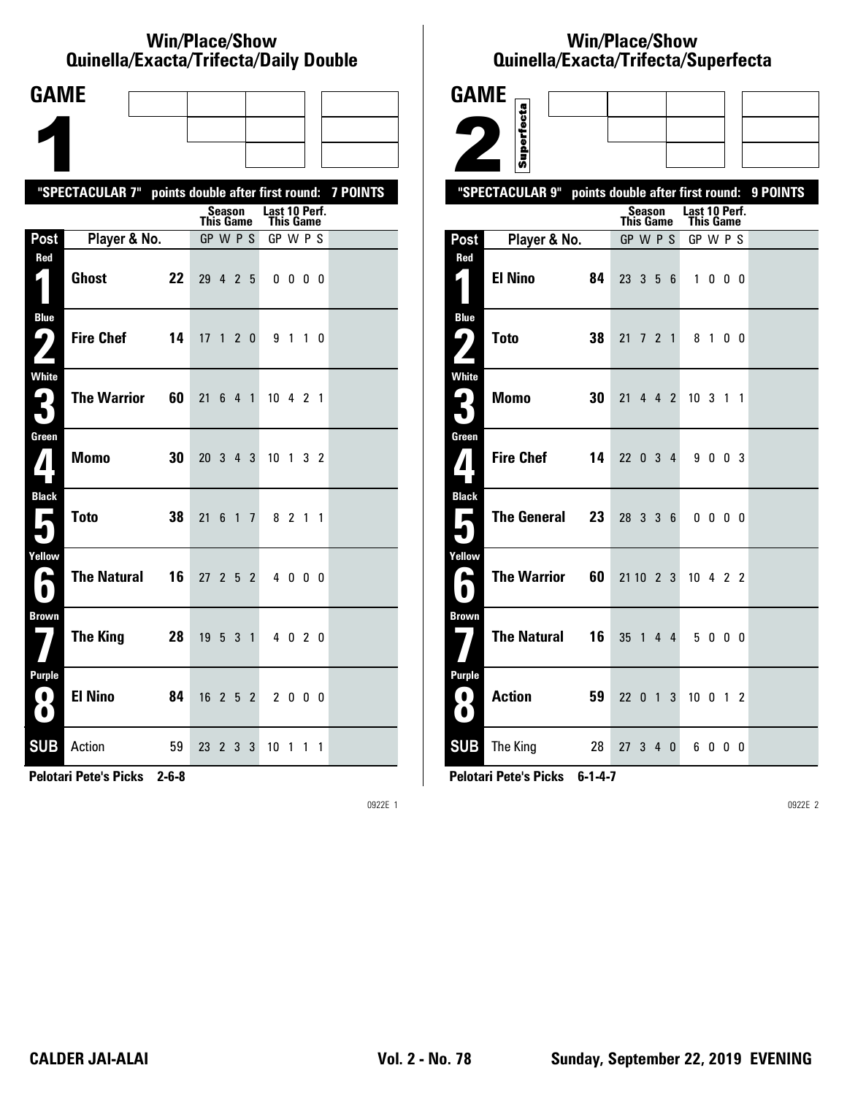#### **Win/Place/Show Qui nel la/Exacta/Tri fecta/Daily Dou ble**

| <b>GAME</b>                                  |                                                           |    |                 |        |                 |                |                            |              |                |  |
|----------------------------------------------|-----------------------------------------------------------|----|-----------------|--------|-----------------|----------------|----------------------------|--------------|----------------|--|
|                                              |                                                           |    |                 |        |                 |                |                            |              |                |  |
|                                              |                                                           |    |                 |        |                 |                |                            |              |                |  |
|                                              | "SPECTACULAR 7" points double after first round: 7 POINTS |    |                 |        |                 |                |                            |              |                |  |
|                                              |                                                           |    | This Game       | Season |                 |                | Last 10 Perf.<br>This Game |              |                |  |
| Post                                         | Player & No.                                              |    | GP W P S        |        |                 |                | GP W P S                   |              |                |  |
| Red<br>$\vert \vert$                         | <b>Ghost</b>                                              | 22 | 29 4 2 5        |        |                 |                |                            | $0\,0\,0\,0$ |                |  |
| <b>Blue</b><br>5<br>$\overline{\phantom{a}}$ | <b>Fire Chef</b>                                          | 14 | 17 <sub>1</sub> |        |                 | 2 <sub>0</sub> |                            | 9 1 1 0      |                |  |
| <b>White</b><br>3                            | <b>The Warrior</b>                                        | 60 | 21              | 6      | 4 1             |                | 10 4 2 1                   |              |                |  |
| Green<br>$\bf{1}$                            | <b>Momo</b>                                               | 30 | 20 3 4 3        |        |                 |                | 10 <sub>1</sub>            |              | 3 <sub>2</sub> |  |
| <b>Black</b><br>Е                            | <b>Toto</b>                                               | 38 | 21              | 6      | $1\overline{7}$ |                |                            | 8 2 1 1      |                |  |
| Yellow<br>е                                  | <b>The Natural</b>                                        | 16 | 27, 2, 5, 2     |        |                 |                |                            | 4000         |                |  |
| <b>Brown</b>                                 | <b>The King</b>                                           | 28 | 19531           |        |                 |                |                            | 4 0 2 0      |                |  |
| <b>Purple</b><br>$\blacksquare$<br>O         | <b>El Nino</b>                                            | 84 | $16$ 2 5 2      |        |                 |                |                            | 2 0 0 0      |                |  |
| <b>SUB</b>                                   | Action                                                    | 59 | 23 2 3          |        |                 | 3              | 10 1                       |              | $1\quad1$      |  |

**Pelotari Pete's Picks 2-6-8**

0922E 1

# **Win/Place/Show Qui nel la/Exacta/Tri fecta/Super fecta**

| <b>GAME</b>                            |                          |           |        |   |                                   |                          |     |                                           |
|----------------------------------------|--------------------------|-----------|--------|---|-----------------------------------|--------------------------|-----|-------------------------------------------|
|                                        |                          |           |        |   |                                   |                          |     |                                           |
|                                        | Superfecta               |           |        |   |                                   |                          |     |                                           |
|                                        | "SPECTACULAR 9"          |           |        |   |                                   |                          |     | points double after first round: 9 POINTS |
|                                        |                          | This Game | Season |   | Last 10 Perf.<br><b>This Game</b> |                          |     |                                           |
| Post                                   | Player & No.             | GP W P S  |        |   | GP W P S                          |                          |     |                                           |
| Red                                    |                          |           |        |   |                                   |                          |     |                                           |
| $\mathbf{z}$ 1                         | <b>El Nino</b><br>84     | 23 3 5 6  |        |   | $\mathbf{1}$                      | $0\quad 0\quad 0$        |     |                                           |
| <b>Blue</b><br>ر ما                    | <b>Toto</b><br>38        | 21 7 2 1  |        |   |                                   | 8 1 0 0                  |     |                                           |
|                                        |                          |           |        |   |                                   |                          |     |                                           |
| <b>White</b><br>$\mathbf{L}_\parallel$ | <b>Momo</b><br>30        | 21 4 4 2  |        |   | 10 3 1 1                          |                          |     |                                           |
|                                        |                          |           |        |   |                                   |                          |     |                                           |
| Green                                  | <b>Fire Chef</b><br>14   | 22 0 3 4  |        |   |                                   | 9 0 0 3                  |     |                                           |
| ${\bf Z}$                              |                          |           |        |   |                                   |                          |     |                                           |
| <b>Black</b>                           |                          |           |        |   |                                   |                          |     |                                           |
| Е                                      | <b>The General</b><br>23 | 28 3 3 6  |        |   |                                   | $0\quad 0\quad 0\quad 0$ |     |                                           |
| Yellow                                 |                          |           |        |   |                                   |                          |     |                                           |
| A                                      | <b>The Warrior</b><br>60 | 21 10 2 3 |        |   | $10 \t4 \t2 \t2$                  |                          |     |                                           |
| Brown                                  |                          |           |        |   |                                   |                          |     |                                           |
|                                        | <b>The Natural</b><br>16 | 35 1 4 4  |        |   |                                   | 5000                     |     |                                           |
| <b>Purple</b>                          |                          |           |        |   |                                   |                          |     |                                           |
| 0.<br>$\bullet$                        | <b>Action</b><br>59      | 22 0 1    |        | 3 | 10 <sub>0</sub>                   |                          | 1 2 |                                           |
| <b>SUB</b>                             | 28<br>The King           | 27 3 4 0  |        |   |                                   | 6000                     |     |                                           |

**Pelotari Pete's Picks 6-1-4-7**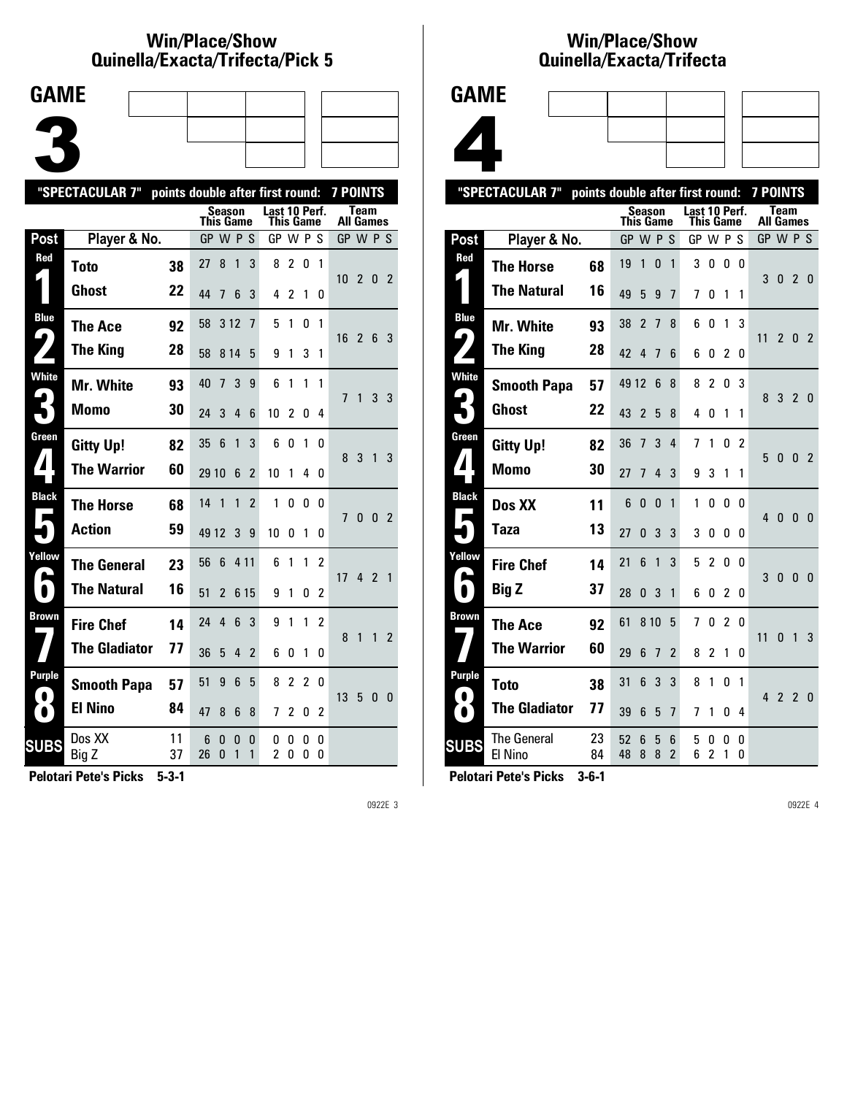#### **Win/Place/Show Qui nel la/Exacta/Tri fecta/Pick 5**



|                     | "SPECTACULAR 7"      | points double after first round: |           |               |                |                          |                            |                |        |              | <b>7 POINTS</b>  |                |                |                |
|---------------------|----------------------|----------------------------------|-----------|---------------|----------------|--------------------------|----------------------------|----------------|--------|--------------|------------------|----------------|----------------|----------------|
|                     |                      |                                  | This Game | <b>Season</b> |                |                          | Last 10 Perf.<br>This Game |                |        |              | <b>All Games</b> | Team           |                |                |
| Post                | Player & No.         |                                  | GP W P S  |               |                |                          | GP W P S                   |                |        |              | GP W P S         |                |                |                |
| Red                 | <b>Toto</b>          | 38                               | 27        | 8             | $\overline{1}$ | 3                        | 8                          | $\overline{2}$ | 0      | $\mathbf{1}$ | 10 <sub>2</sub>  |                | 0 <sub>2</sub> |                |
|                     | Ghost                | 22                               | 44        | 7             | 6              | 3                        | 4                          | 2              | 1      | 0            |                  |                |                |                |
| <b>Blue</b><br>9    | The Ace              | 92                               | 58        | 3 1 2         |                | 7                        | 5                          | 1              | 0      | 1            | 16               | $\overline{2}$ | 6 3            |                |
|                     | <b>The King</b>      | 28                               | 58        | 8 1 4         |                | 5                        | 9                          | 1              | 3      | 1            |                  |                |                |                |
| <b>White</b>        | Mr. White            | 93                               | 40        | 7             | 3              | 9                        | 6                          | 1              | 1      | 1            | 7                | $\mathbf{1}$   | 3 <sub>3</sub> |                |
|                     | Momo                 | 30                               | 24        | 3             | 4              | 6                        | 10                         | $\overline{c}$ | 0      | 4            |                  |                |                |                |
| Green               | <b>Gitty Up!</b>     | 82                               | 35        | 6             | 1              | 3                        | 6                          | 0              | 1      | 0            | 8 <sup>3</sup>   |                | 1              | 3              |
|                     | <b>The Warrior</b>   | 60                               | 29 10     |               | 6              | 2                        | 10                         | 1              | 4      | 0            |                  |                |                |                |
| <b>Black</b>        | <b>The Horse</b>     | 68                               | 14        | 1             | 1              | $\overline{\phantom{a}}$ | 1                          | $\Omega$       | 0      | 0            | 7                | $\mathbf{0}$   | $\mathbf{0}$   | $\overline{2}$ |
|                     | <b>Action</b>        | 59                               | 49 12     |               | 3              | 9                        | 10                         | 0              | 1      | 0            |                  |                |                |                |
| Yellow              | <b>The General</b>   | 23                               | 56        | 6             | 4 1 1          |                          | 6                          | 1              | 1      | 2            | 17 <sup>1</sup>  |                | 421            |                |
| $\blacksquare$      | <b>The Natural</b>   | 16                               | 51        | $\mathfrak z$ | 6 15           |                          | 9                          | 1              | 0      | 2            |                  |                |                |                |
| Brown               | <b>Fire Chef</b>     | 14                               | 24        | 4             | 6              | 3                        | 9                          | 1              | 1      | 2            | 8                | 1              | 1              | $\overline{2}$ |
|                     | <b>The Gladiator</b> | 77                               | 36        | 5             | 4              | $\overline{2}$           | 6                          | 0              | 1      | 0            |                  |                |                |                |
| Purple<br>$\bullet$ | <b>Smooth Papa</b>   | 57                               | 51        | 9             | 6              | 5                        | 8                          | 2              | 2      | 0            | 13 <sub>5</sub>  |                | 0 <sub>0</sub> |                |
| $\bullet$           | <b>El Nino</b>       | 84                               | 47        | 8             | 6              | 8                        | 7                          | 2              | 0      | 2            |                  |                |                |                |
| <b>SUBS</b>         | Dos XX<br>Big Z      | 11<br>37                         | 6<br>26   | 0<br>0        | 0<br>1         | 0<br>1                   | 0<br>2                     | 0<br>0         | 0<br>0 | 0<br>0       |                  |                |                |                |
|                     |                      |                                  |           |               |                |                          |                            |                |        |              |                  |                |                |                |

**Pelotari Pete's Picks 5-3-1**

0922E 3

### **Win/Place/Show Qui nel la/Exacta/Tri fecta**



|                     | "SPECTACULAR 7"               | points double after first round: |           |                |                |                     |               |                     |                |               | <b>7 POINTS</b> |                          |                |                |
|---------------------|-------------------------------|----------------------------------|-----------|----------------|----------------|---------------------|---------------|---------------------|----------------|---------------|-----------------|--------------------------|----------------|----------------|
|                     |                               |                                  | This Game | <b>Season</b>  |                |                     | Last 10 Perf. | This Game           |                |               |                 | Team<br><b>All Games</b> |                |                |
| Post                | Player & No.                  |                                  | GP W P S  |                |                |                     | GP W P        |                     |                | S             | GP W P S        |                          |                |                |
| Red                 | <b>The Horse</b>              | 68                               | 19        | 1              | 0              | 1                   | 3             | 0                   | 0              | 0             | 3               | 0 <sub>2</sub>           |                | - 0            |
|                     | <b>The Natural</b>            | 16                               | 49        | 5              | 9              | 7                   | 7             | 0                   | 1              | 1             |                 |                          |                |                |
| <b>Blue</b><br>4    | Mr. White                     | 93                               | 38        | $\overline{2}$ | $\overline{7}$ | 8                   | 6             | 0                   | 1              | 3             | 11              | $\overline{2}$           |                |                |
|                     | <b>The King</b>               | 28                               | 42        | 4              | 7              | 6                   | 6             | 0                   | 2              | 0             |                 |                          | $\mathbf{0}$   | -2             |
| <b>White</b>        | <b>Smooth Papa</b>            | 57                               | 49 12     |                | 6              | 8                   | 8             | 2                   | 0              | 3             |                 | 8 3 2 0                  |                |                |
|                     | <b>Ghost</b>                  | 22                               | 43        | $\overline{2}$ | 5              | 8                   | 4             | 0                   | 1              | 1             |                 |                          |                |                |
| Green               | <b>Gitty Up!</b>              | 82                               | 36        | 7              | 3              | $\overline{4}$      | 7             | 1                   | 0              | $\mathcal{P}$ | 5               | 0                        | - 0            | $\overline{2}$ |
| $\boldsymbol{I}$    | <b>Momo</b>                   | 30                               | 27        | 7              | 4              | 3                   | 9             | 3                   | 1              | 1             |                 |                          |                |                |
| <b>Black</b><br>Е   | Dos XX                        | 11                               | 6         | 0              | $\Omega$       | 1                   | 1             | 0                   | 0              | 0             | 4               | $\mathbf{0}$             | $\mathbf{0}$   | $\mathbf{0}$   |
|                     | Taza                          | 13                               | 27        | 0              | 3              | 3                   | 3             | 0                   | 0              | 0             |                 |                          |                |                |
| Yellow              | <b>Fire Chef</b>              | 14                               | 21        | 6              | 1              | 3                   | 5             | $\overline{c}$      | 0              | 0             | 3               | $\mathbf{0}$             | $\mathbf{0}$   | 0              |
|                     | <b>Big Z</b>                  | 37                               | 28        | 0              | 3              | 1                   | 6             | 0                   | $\overline{2}$ | 0             |                 |                          |                |                |
| <b>Brown</b>        | <b>The Ace</b>                | 92                               | 61        | 8 1 0          |                | 5                   | 7             | 0                   | $\overline{2}$ | 0             | 11              | 0                        | $\overline{1}$ | 3              |
|                     | <b>The Warrior</b>            | 60                               | 29        | 6              | 7              | $\overline{2}$      | 8             | 2                   | 1              | 0             |                 |                          |                |                |
| Purple<br>$\bullet$ | <b>Toto</b>                   | 38                               | 31        | 6              | 3              | 3                   | 8             | 1                   | 0              | 1             |                 | 4 2 2 0                  |                |                |
| $\bullet$           | <b>The Gladiator</b>          | 77                               | 39        | 6              | 5              | $\overline{1}$      | 7             | 1                   | 0              | 4             |                 |                          |                |                |
| <b>SUBS</b>         | <b>The General</b><br>El Nino | 23<br>84                         | 52<br>48  | 6<br>8         | 5<br>8         | 6<br>$\overline{2}$ | 5<br>6        | 0<br>$\overline{c}$ | 0<br>1         | 0<br>0        |                 |                          |                |                |
|                     |                               |                                  |           |                |                |                     |               |                     |                |               |                 |                          |                |                |

**Pelotari Pete's Picks 3-6-1**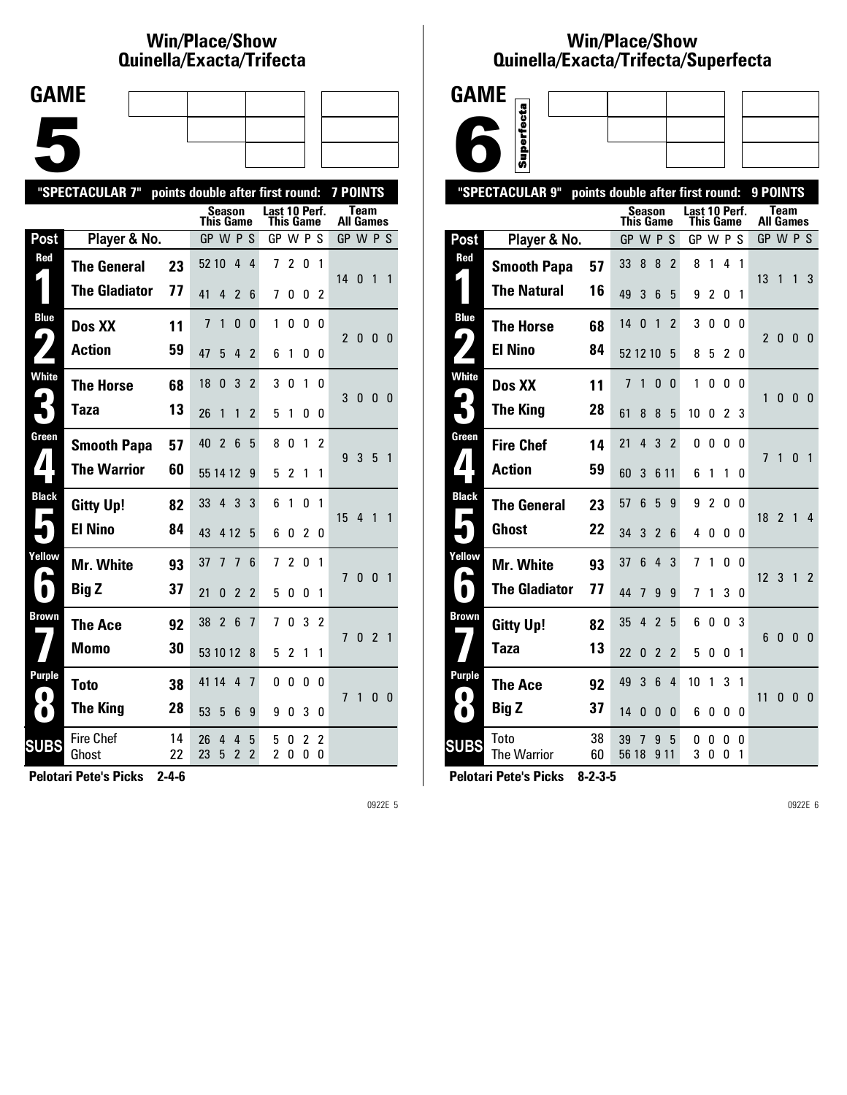# **Win/Place/Show Qui nel la/Exacta/Tri fecta**

| <b>GAME</b> |  |  |
|-------------|--|--|
|             |  |  |
|             |  |  |
|             |  |  |
|             |  |  |
|             |  |  |
|             |  |  |
|             |  |  |

|                       | "SPECTACULAR 7"           | points double after first round: |           |                |                     |                               |                            |                |                     |                     | <b>7 POINTS</b>  |                |                |                          |
|-----------------------|---------------------------|----------------------------------|-----------|----------------|---------------------|-------------------------------|----------------------------|----------------|---------------------|---------------------|------------------|----------------|----------------|--------------------------|
|                       |                           |                                  | This Game | Season         |                     |                               | Last 10 Perf.<br>This Game |                |                     |                     | <b>All Games</b> | Team           |                |                          |
| <b>Post</b>           | Player & No.              |                                  | GP W P S  |                |                     |                               | GP W P S                   |                |                     |                     | GP W P S         |                |                |                          |
| Red                   | <b>The General</b>        | 23                               | 52 10     |                | 4                   | 4                             | 7                          | $\overline{2}$ | 0                   | 1                   |                  |                |                |                          |
|                       | <b>The Gladiator</b>      | 77                               | 41        | 4              | 2                   | 6                             | 7                          | 0              | 0                   | 2                   | 14 <sub>0</sub>  |                | 1              | $\overline{\phantom{0}}$ |
| <b>Blue</b>           | Dos XX                    | 11                               | 7         | 1              | $\mathbf{0}$        | 0                             | 1                          | 0              | 0                   | 0                   | $\mathfrak{p}$   |                |                |                          |
| $\blacktriangleright$ | <b>Action</b>             | 59                               | 47        | 5              | 4                   | 2                             | 6                          | 1              | 0                   | 0                   |                  | $\mathbf{0}$   | 0 <sub>0</sub> |                          |
| White                 | <b>The Horse</b>          | 68                               | 18        | 0              | 3                   | $\overline{2}$                | 3                          | 0              | 1                   | 0                   | 3                | $\bf{0}$       | 0 <sub>0</sub> |                          |
|                       | Taza                      | 13                               | 26        | 1              | 1                   | $\overline{2}$                | 5                          | 1              | 0                   | 0                   |                  |                |                |                          |
| Green                 | <b>Smooth Papa</b>        | 57                               | 40        | $\overline{2}$ | -6                  | 5                             | 8                          | 0              | 1                   | 2                   | 9                | 3              | 5              | $\overline{1}$           |
|                       | <b>The Warrior</b>        | 60                               | 55 14 12  |                |                     | 9                             | 5                          | 2              | 1                   | 1                   |                  |                |                |                          |
| <b>Black</b>          | <b>Gitty Up!</b>          | 82                               | 33        | $\overline{4}$ | 3                   | 3                             | 6                          | 1              | 0                   | 1                   | 15               | $\overline{4}$ | 1              | $\mathbf{1}$             |
|                       | <b>El Nino</b>            | 84                               | 43        | 4 1 2          |                     | 5                             | 6                          | 0              | 2                   | 0                   |                  |                |                |                          |
| Yellow                | Mr. White                 | 93                               | 37        | 7              | 7                   | 6                             | 7                          | 2              | 0                   | 1                   | $\overline{1}$   | $\mathbf{0}$   | $\mathbf{0}$   | $\overline{1}$           |
| $\bullet$             | <b>Big Z</b>              | 37                               | 21        | 0              | $\overline{2}$      | $\overline{2}$                | 5                          | 0              | 0                   | 1                   |                  |                |                |                          |
| <b>Brown</b>          | <b>The Ace</b>            | 92                               | 38        | $\overline{2}$ | - 6                 | 7                             | 7                          | $\mathbf{0}$   | 3                   | 2                   | 7                | 0              | $\overline{2}$ | $\overline{1}$           |
|                       | Momo                      | 30                               | 53 10 12  |                |                     | 8                             | 5                          | $\overline{2}$ | 1                   | 1                   |                  |                |                |                          |
| <b>Purple</b>         | <b>Toto</b>               | 38                               | 41 14     |                | 4                   | 7                             | 0                          | 0              | 0                   | 0                   | 7                | 1              | 0              | - 0                      |
| $\bullet$             | <b>The King</b>           | 28                               | 53        | 5              | 6                   | 9                             | 9                          | 0              | 3                   | 0                   |                  |                |                |                          |
| <b>SUBS</b>           | <b>Fire Chef</b><br>Ghost | 14<br>22                         | 26<br>23  | 4<br>5         | 4<br>$\overline{2}$ | 5<br>$\overline{\phantom{a}}$ | 5<br>$\overline{2}$        | 0<br>0         | $\overline{2}$<br>0 | $\overline{c}$<br>0 |                  |                |                |                          |
|                       |                           |                                  |           |                |                     |                               |                            |                |                     |                     |                  |                |                |                          |

**Pelotari Pete's Picks 2-4-6**

0922E 5

## **Win/Place/Show Qui nel la/Exacta/Tri fecta/Super fecta**



|                        | "SPECTACULAR 9"      | points double after first round: |                                   |                |                |                                   |        |                |          | 9 POINTS        |                                 |                |                |
|------------------------|----------------------|----------------------------------|-----------------------------------|----------------|----------------|-----------------------------------|--------|----------------|----------|-----------------|---------------------------------|----------------|----------------|
|                        |                      |                                  | <b>Season</b><br><b>This Game</b> |                |                | Last 10 Perf.<br><b>This Game</b> |        |                |          |                 | <b>Team</b><br><b>All Games</b> |                |                |
| Post                   | Player & No.         |                                  | GP                                | W P            | -S             | GP W P S                          |        |                |          |                 | GP W P S                        |                |                |
| Red                    | <b>Smooth Papa</b>   | 57                               | 8<br>33                           | 8              | $\overline{2}$ | 8                                 | 1      | 4              | 1        |                 |                                 |                |                |
|                        | <b>The Natural</b>   | 16                               | 49<br>3                           | 6              | 5              | 9                                 | 2      | 0              | 1        | 13              | 1                               | 1              | 3              |
| <b>Blue</b>            | <b>The Horse</b>     | 68                               | 14<br>0                           | 1              | $\overline{2}$ | 3                                 | 0      | 0              | 0        |                 |                                 |                |                |
| 4                      | <b>El Nino</b>       | 84                               | 52 12 10                          |                | 5              | 8                                 | 5      | $\overline{2}$ | 0        | $\overline{2}$  | $\bf{0}$                        | 0              | - 0            |
| <b>White</b>           | Dos XX               | 11                               | 7<br>1                            | 0              | 0              | 1                                 | 0      | 0              | 0        | 1               | 0                               | - 0            | - 0            |
|                        | <b>The King</b>      | 28                               | 61<br>8                           | 8              | 5              | 10                                | 0      | 2              | 3        |                 |                                 |                |                |
| Green                  | <b>Fire Chef</b>     | 14                               | 21<br>4                           | 3              | $\overline{2}$ | 0                                 | 0      | 0              | $\Omega$ | $\overline{1}$  | 1                               | $\mathbf{0}$   | $\overline{1}$ |
| 4                      | <b>Action</b>        | 59                               | 60<br>3                           |                | 6 11           | 6                                 | 1      | 1              | 0        |                 |                                 |                |                |
| <b>Black</b>           | <b>The General</b>   | 23                               | 6<br>57                           | 5              | 9              | 9                                 | 2      | 0              | $\Omega$ | 18 <sup>1</sup> | 2 <sub>1</sub>                  |                | 4              |
|                        | Ghost                | 22                               | 3<br>34                           | $\mathfrak{p}$ | 6              | 4                                 | 0      | 0              | 0        |                 |                                 |                |                |
| Yellow                 | <b>Mr. White</b>     | 93                               | 37<br>6                           | 4              | 3              | 7                                 | 1      | 0              | 0        | 12              | 3                               | $\overline{1}$ | $\overline{2}$ |
|                        | <b>The Gladiator</b> | 77                               | 44<br>7                           | 9              | 9              | 7                                 | 1      | 3              | 0        |                 |                                 |                |                |
| <b>Brown</b>           | <b>Gitty Up!</b>     | 82                               | 4<br>35                           | $\overline{2}$ | 5              | 6                                 | 0      | $\mathbf{0}$   | 3        | 6               | $\bf{0}$                        | - 0            | 0              |
|                        | Taza                 | 13                               | 22<br>0                           | $\overline{2}$ | $\overline{2}$ | 5                                 | 0      | 0              | 1        |                 |                                 |                |                |
| Purple                 | <b>The Ace</b>       | 92                               | 3<br>49                           | 6              | 4              | 10                                | 1      | 3              | 1        |                 |                                 |                |                |
| $\bullet$<br>$\bullet$ | <b>Big Z</b>         | 37                               | 14<br>0                           | 0              | 0              | 6                                 | 0      | 0              | 0        | 11              | 0                               | $\bf{0}$       | - 0            |
| <b>SUBS</b>            | Toto<br>The Warrior  | 38<br>60                         | 39<br>7<br>56 18                  | 9              | 5<br>9 1 1     | 0<br>3                            | 0<br>0 | 0<br>0         | 0<br>1   |                 |                                 |                |                |
|                        |                      |                                  |                                   |                |                |                                   |        |                |          |                 |                                 |                |                |

**Pelotari Pete's Picks 8-2-3-5**